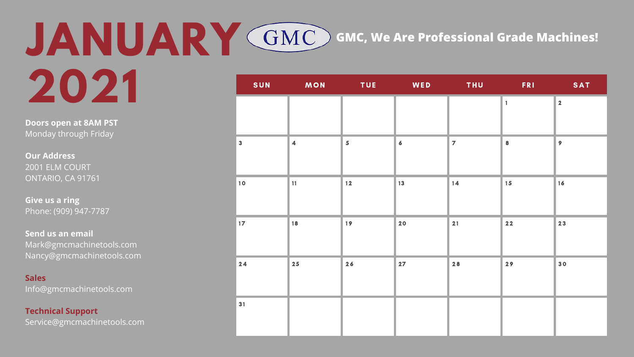| SUN          | MON<br>$\mathcal{L}(\mathcal{L})$ and $\mathcal{L}(\mathcal{L})$ and $\mathcal{L}(\mathcal{L})$ | <b>TUE</b>              | <b>Example 19 WED</b> | THU <sub>1</sub><br>$\mathcal{L}(\mathcal{L})$ and $\mathcal{L}(\mathcal{L})$ and $\mathcal{L}(\mathcal{L})$ |                  | FRI SAT                 |
|--------------|-------------------------------------------------------------------------------------------------|-------------------------|-----------------------|--------------------------------------------------------------------------------------------------------------|------------------|-------------------------|
|              |                                                                                                 |                         |                       |                                                                                                              | $\mathbf{1}$     | $\overline{\mathbf{2}}$ |
| $\mathbf{3}$ | $\overline{\mathbf{4}}$                                                                         | $\overline{\mathbf{5}}$ | $\epsilon$            | $\overline{z}$                                                                                               | $\boldsymbol{8}$ | $\overline{9}$          |
| 10           | 11                                                                                              | $12$                    | 13                    | 14                                                                                                           | 15               | 16                      |
| $17$         | 18                                                                                              | 19                      | 20                    | 21                                                                                                           | $22$             | 23                      |
| 24           | $25$                                                                                            | 26                      | 27                    | 28                                                                                                           | 29               | 30                      |
| 31           |                                                                                                 |                         |                       |                                                                                                              |                  |                         |

**Doors open at 8AM PST** Monday through Friday

**Our Address** 2001 ELM COURT ONTARIO, CA 91761

### **JANUARY 2021** SUN MON TUE WED THU FRI SAT **GMC, We Are Professional Grade Machines!**

**Give us a ring** Phone: (909) 947-7787

**Send us an email** Mark@gmcmachinetools.com Nancy@gmcmachinetools.com

#### **Sales**

Info@gmcmachinetools.com

#### **Technical Support**

Service@gmcmachinetools.com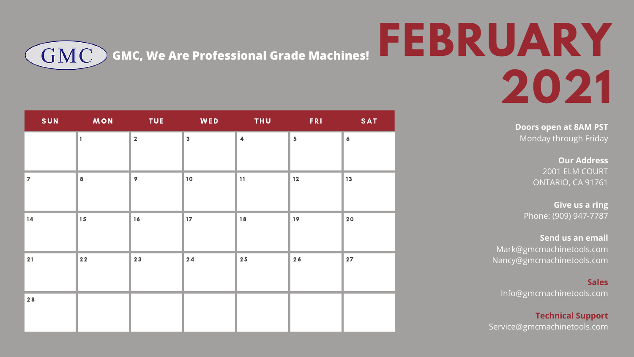### **FEBRUARY 2021**

| SUN            | <b>Example 20 MON</b> | <b>Example 20 INCO TUE AND MEDIATION</b> |                         | <b>THUNG THUNG</b>      | <b>FRI</b>     | <b>SAT</b>       |
|----------------|-----------------------|------------------------------------------|-------------------------|-------------------------|----------------|------------------|
|                | $\mathbf{1}$          | $\overline{2}$                           | $\overline{\mathbf{3}}$ | $\overline{\mathbf{4}}$ | $5\phantom{a}$ | $\boldsymbol{6}$ |
| $\overline{7}$ | 8                     | 9 <sup>°</sup>                           | 10                      | 11                      | $12$           | 13               |
| 14             | 15                    | 16                                       | 17 <sup>2</sup>         | 18                      | 19             | 20               |
| 21             | $22$                  | 23                                       | 24                      | 25                      | 26             | 27               |
| 28             |                       |                                          |                         |                         |                |                  |

**Doors open at 8AM PST** Monday through Friday

> **Our Address** 2001 ELM COURT ONTARIO, CA 91761

**GMC, We Are Professional Grade Machines!**GMC

> **Give us a ring** Phone: (909) 947-7787

**Send us an email** Mark@gmcmachinetools.com Nancy@gmcmachinetools.com

**Sales** Info@gmcmachinetools.com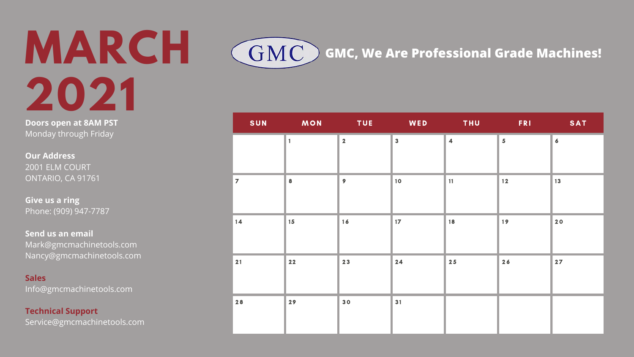# **MARCH 2021**

| SUN            | <b>MON</b><br><b>Service Service</b> | <b>Example TUE</b>      | WED                     | <b>THUNGER</b>          | <b>FRI</b>        | <b>SAT</b>       |
|----------------|--------------------------------------|-------------------------|-------------------------|-------------------------|-------------------|------------------|
|                | 1                                    | $\overline{\mathbf{2}}$ | $\overline{\mathbf{3}}$ | $\overline{\mathbf{4}}$ | 5 <sup>1</sup>    | $\boldsymbol{6}$ |
| $\overline{7}$ | 8                                    | $\mathbf{9}$            | 10                      | 11                      | $12 \overline{ }$ | $13$             |
| $14$           | 15                                   | 16                      | 17 <sup>2</sup>         | 18                      | 19                | 20               |
| 21             | $22$                                 | 23                      | 24                      | $25$                    | 26                | 27               |
| $28$           | 29                                   | 30                      | 31                      |                         |                   |                  |

**Doors open at 8AM PST** Monday through Friday

**Our Address** 2001 ELM COURT ONTARIO, CA 91761

**Give us a ring** Phone: (909) 947-7787

**Send us an email** Mark@gmcmachinetools.com Nancy@gmcmachinetools.com

#### **Sales**

Info@gmcmachinetools.com

#### **Technical Support**

Service@gmcmachinetools.com

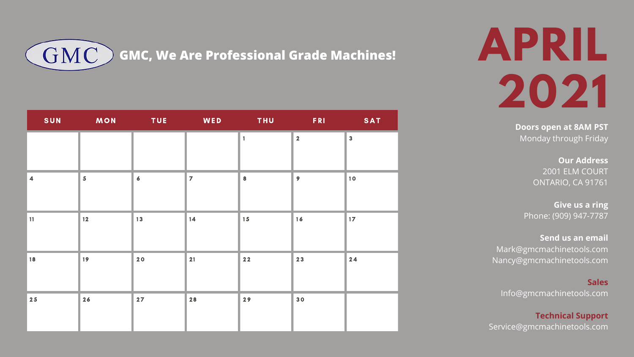### **APRIL 2021**

**Doors open at 8AM PST** Monday through Friday

|                         | SUN MON                 |                  | <b>Example 19 TUE Review WED</b> | <b>THU</b>   | <b>FRI</b>              | <b>SAT</b>              |
|-------------------------|-------------------------|------------------|----------------------------------|--------------|-------------------------|-------------------------|
|                         |                         |                  |                                  | $\mathbf{1}$ | $\overline{\mathbf{2}}$ | $\overline{\mathbf{3}}$ |
| $\overline{\mathbf{4}}$ | $\overline{\mathbf{5}}$ | $\boldsymbol{6}$ | $\overline{z}$                   | 8            | $\overline{9}$          | 10                      |
| 11                      | $12$                    | 13               | 14                               | 15           | 16                      | 17 <sup>2</sup>         |
| 18                      | 19                      | 20               | 21                               | $22$         | 23                      | 24                      |
| 25                      | 26                      | 27               | 28                               | 29           | 30                      |                         |

**Our Address** 2001 ELM COURT ONTARIO, CA 91761

**Give us a ring** Phone: (909) 947-7787

**Send us an email** Mark@gmcmachinetools.com Nancy@gmcmachinetools.com

**Sales**

Info@gmcmachinetools.com

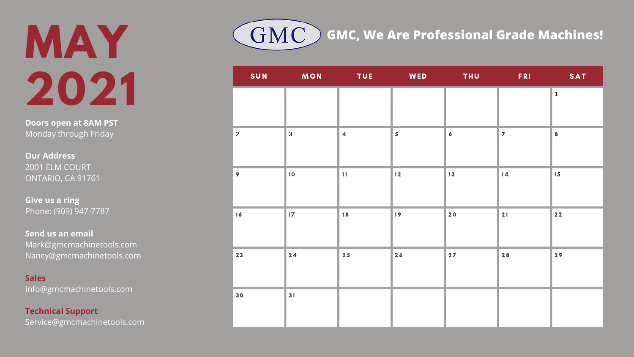# **MAY 2021**

| SUN            | <b>Example 20 MON</b> | <b>Example 19 TUE</b>   | <b>Example 19 WED</b>   | <b>Example 19 THU</b> | <b>Example 18 SAT</b> |                  |
|----------------|-----------------------|-------------------------|-------------------------|-----------------------|-----------------------|------------------|
|                |                       |                         |                         |                       |                       | $1\,$            |
| $\overline{2}$ | $\mathbf{3}$          | $\overline{\mathbf{4}}$ | $\overline{\mathbf{5}}$ | $\boldsymbol{6}$      | $\overline{z}$        | $\boldsymbol{8}$ |
| $\mathbf{9}$   | 10                    | 11                      | $12$                    | 13                    | 14                    | 15               |
| 16             | $17$                  | 18                      | 19                      | 20                    | 21                    | $22$             |
| 23             | 24                    | $25$                    | 26                      | 27                    | 28                    | 29               |
| 30             | 31                    |                         |                         |                       |                       |                  |

**Doors open at 8AM PST** Monday through Friday

**Our Address** 2001 ELM COURT ONTARIO, CA 91761

**Give us a ring** Phone: (909) 947-7787

**Send us an email** Mark@gmcmachinetools.com Nancy@gmcmachinetools.com

#### **Sales**

Info@gmcmachinetools.com

#### **Technical Support**

Service@gmcmachinetools.com

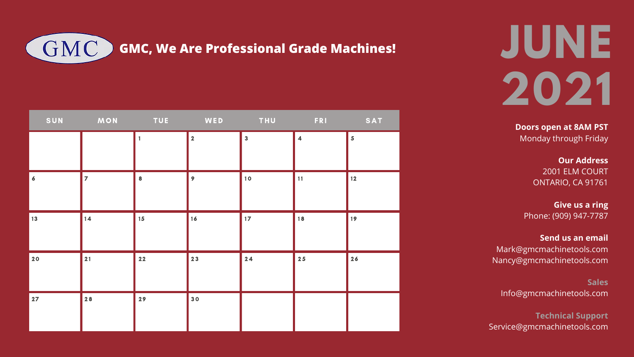# **JUNE 2021**

| SUN            | <b>Example 20 MON</b> |              | TUE WED THU             |                         | FRI                  | SAT                     |
|----------------|-----------------------|--------------|-------------------------|-------------------------|----------------------|-------------------------|
|                |                       | $\mathbf{1}$ | $\overline{\mathbf{2}}$ | $\overline{\mathbf{3}}$ | $\blacktriangleleft$ | $\overline{\mathbf{5}}$ |
|                |                       |              |                         |                         |                      |                         |
| $\overline{6}$ | $\overline{7}$        | 8            | 9 <sup>°</sup>          | 10                      | 11                   | $\vert$ 12              |
| 13             | 14                    | 15           | 16                      | 17 <sup>2</sup>         | 18                   | 19                      |
| 20             | 21                    | $22$         | 23                      | 24                      | 25                   | 26                      |
| 27             | 28                    | 29           | 30                      |                         |                      |                         |

**Doors open at 8AM PST** Monday through Friday

> **Our Address** 2001 ELM COURT ONTARIO, CA 91761

**Give us a ring** Phone: (909) 947-7787

**Send us an email** Mark@gmcmachinetools.com Nancy@gmcmachinetools.com

**Sales** Info@gmcmachinetools.com

**Technical Support** Service@gmcmachinetools.com

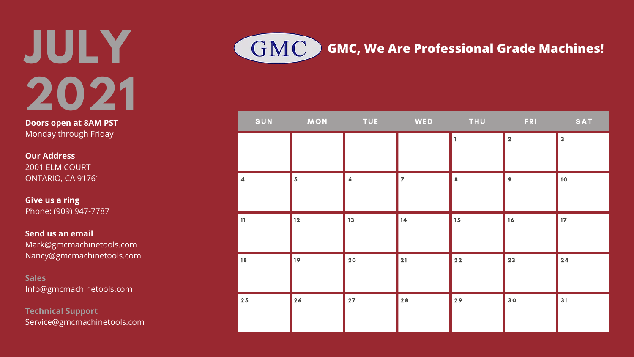# **JULY 2021**

|                         | SUN MON TUE WED THU FRI |                  |                |              |                | SAT                     |
|-------------------------|-------------------------|------------------|----------------|--------------|----------------|-------------------------|
|                         |                         |                  |                | $\mathbf{1}$ | $\overline{2}$ | $\overline{\mathbf{3}}$ |
| $\overline{\mathbf{4}}$ | $\overline{\mathbf{5}}$ | $\boldsymbol{6}$ | $\overline{z}$ | 8            | $\overline{9}$ | 10                      |
| 11                      | $12$                    | 13               | 14             | 15           | 16             | 17 <sup>2</sup>         |
| 18                      | 19                      | 20               | 21             | $22$         | 23             | $24$                    |
| $25$                    | 26                      | 27               | 28             | 29           | 30             | 31                      |

**Doors open at 8AM PST** Monday through Friday

**Our Address** 2001 ELM COURT ONTARIO, CA 91761

**Give us a ring** Phone: (909) 947-7787

**Send us an email** Mark@gmcmachinetools.com Nancy@gmcmachinetools.com

**Sales** Info@gmcmachinetools.com

**Technical Support** Service@gmcmachinetools.com

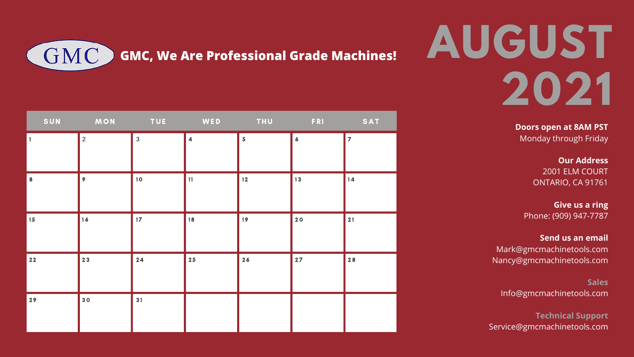# **AUGUST 2021**

| SUN        | <b>Example 20 MON</b> | <b>TUE</b>      | <b>Experiment WED</b>   | <b>THU</b>              | <b>FRI</b>       | SAT            |
|------------|-----------------------|-----------------|-------------------------|-------------------------|------------------|----------------|
| $\vert$ 1  | $\overline{2}$        | $\mathbf{3}$    | $\overline{\mathbf{4}}$ | $\overline{\mathbf{5}}$ | $\boldsymbol{6}$ | $\overline{z}$ |
| 8          | $\overline{9}$        | 10              | 11                      | $12$                    | $13$             | 14             |
| $\vert$ 15 | 16                    | 17 <sup>2</sup> | 18                      | 19                      | 20               | 21             |
| $22$       | 23                    | 24              | $25$                    | 26                      | $27$             | 28             |
| 29         | 30                    | 31              |                         |                         |                  |                |

**Doors open at 8AM PST** Monday through Friday

> **Our Address** 2001 ELM COURT ONTARIO, CA 91761

**Give us a ring** Phone: (909) 947-7787

**Send us an email** Mark@gmcmachinetools.com Nancy@gmcmachinetools.com

**Sales** Info@gmcmachinetools.com

**Technical Support** Service@gmcmachinetools.com

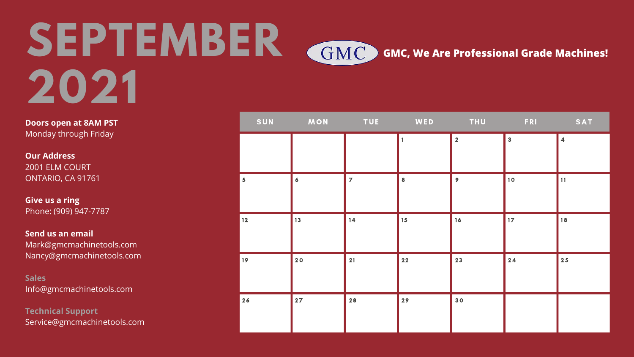|                         |                  | SUN MON TUE WED |      |                         | THU FRI                 | SAT                     |
|-------------------------|------------------|-----------------|------|-------------------------|-------------------------|-------------------------|
|                         |                  |                 |      | $\overline{\mathbf{2}}$ | $\overline{\mathbf{3}}$ | $\overline{\mathbf{4}}$ |
| $\overline{\mathbf{5}}$ | $\boldsymbol{6}$ | $\overline{z}$  | 8    | $\overline{9}$          | 10                      | 11                      |
| $12$                    | 13               | 14              | 15   | 16                      | 17 <sup>2</sup>         | 18                      |
| 19                      | 20               | 21              | $22$ | 23                      | 24                      | $25$                    |
| 26                      | 27               | $28$            | 29   | 30                      |                         |                         |

**Doors open at 8AM PST** Monday through Friday

**Our Address** 2001 ELM COURT ONTARIO, CA 91761

### **SEPTEMBER 2021 GMC, We Are Professional Grade Machines!**

**Give us a ring** Phone: (909) 947-7787

**Send us an email** Mark@gmcmachinetools.com Nancy@gmcmachinetools.com

**Sales** Info@gmcmachinetools.com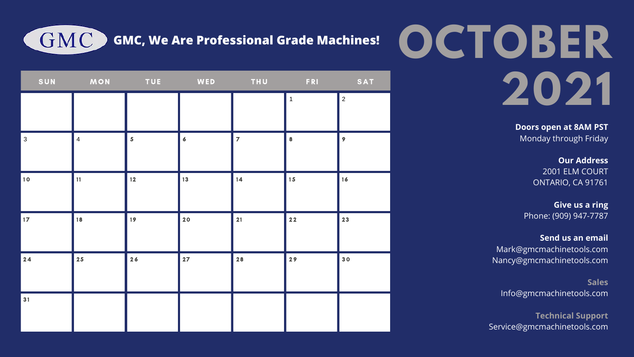# **OCTOBER 2021**

**GMC, We Are Professional Grade Machines!**

|                 | SUN MON        | <b>Example 19 TUE</b>   |                  | <b>Example 19 INCO THU PERICATE PRIMERS</b> |                  | SAT              |
|-----------------|----------------|-------------------------|------------------|---------------------------------------------|------------------|------------------|
|                 |                |                         |                  |                                             | $\mathbf 1$      | $\overline{2}$   |
|                 |                |                         |                  |                                             |                  |                  |
| $\mathbf{3}$    | $\overline{4}$ | $\overline{\mathbf{5}}$ | $\boldsymbol{6}$ | $\overline{7}$                              | $\boldsymbol{8}$ | $\boldsymbol{9}$ |
|                 |                |                         |                  |                                             |                  |                  |
| 10              | 11             | $12$                    | 13               | 14                                          | 15               | 16               |
|                 |                |                         |                  |                                             |                  |                  |
| 17 <sup>2</sup> | 18             | 19                      | 20               | 21                                          | $22$             | 23               |
|                 |                |                         |                  |                                             |                  |                  |
| 24              | 25             | 26                      | 27               | 28                                          | 29               | 30               |
|                 |                |                         |                  |                                             |                  |                  |
| 31              |                |                         |                  |                                             |                  |                  |
|                 |                |                         |                  |                                             |                  |                  |

**GMC** 

**Doors open at 8AM PST** Monday through Friday

> **Our Address** 2001 ELM COURT ONTARIO, CA 91761

**Give us a ring** Phone: (909) 947-7787

**Send us an email** Mark@gmcmachinetools.com Nancy@gmcmachinetools.com

**Sales** Info@gmcmachinetools.com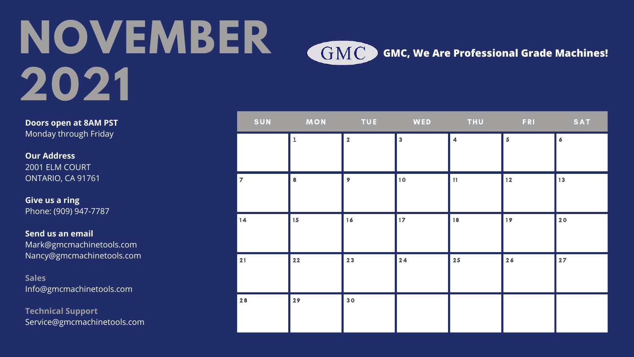# **NOVEMBER 2021**

| SUN            | <b>MON</b>   | <b>Example 19 TUE</b> |                         |                         | <b>FRI</b>              | <b>SAT</b>       |
|----------------|--------------|-----------------------|-------------------------|-------------------------|-------------------------|------------------|
|                | $\mathbf{1}$ | $\overline{2}$        | $\overline{\mathbf{3}}$ | $\overline{\mathbf{4}}$ | $\overline{\mathbf{5}}$ | $\boldsymbol{6}$ |
| $\overline{7}$ | $\bf{8}$     | 9 <sup>°</sup>        | 10                      | 11                      | $12$                    | 13               |
| $14$           | 15           | 16                    | 17 <sup>2</sup>         | 18                      | 19                      | 20               |
| 21             | $22$         | 23                    | 24                      | 25                      | 26                      | 27               |
| 28             | 29           | 30                    |                         |                         |                         |                  |

GMC)

**Doors open at 8AM PST** Monday through Friday

**Our Address** 2001 ELM COURT ONTARIO, CA 91761

**Give us a ring** Phone: (909) 947-7787

**Send us an email** Mark@gmcmachinetools.com Nancy@gmcmachinetools.com

**Sales** Info@gmcmachinetools.com

**Technical Support** Service@gmcmachinetools.com